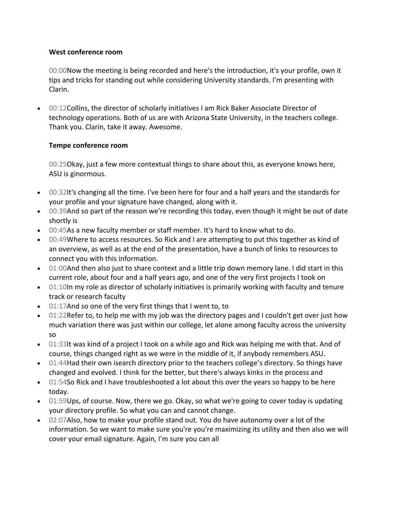00:00Now the meeting is being recorded and here's the introduction, it's your profile, own it tips and tricks for standing out while considering University standards. I'm presenting with Clarin.

• 00:12Collins, the director of scholarly initiatives I am Rick Baker Associate Director of technology operations. Both of us are with Arizona State University, in the teachers college. Thank you. Clarin, take it away. Awesome.

## **Tempe conference room**

00:25Okay, just a few more contextual things to share about this, as everyone knows here, ASU is ginormous.

- 00:32It's changing all the time. I've been here for four and a half years and the standards for your profile and your signature have changed, along with it.
- 00:39And so part of the reason we're recording this today, even though it might be out of date shortly is
- 00:45As a new faculty member or staff member. It's hard to know what to do.
- 00:49Where to access resources. So Rick and I are attempting to put this together as kind of an overview, as well as at the end of the presentation, have a bunch of links to resources to connect you with this information.
- 01:00And then also just to share context and a little trip down memory lane. I did start in this current role, about four and a half years ago, and one of the very first projects I took on
- 01:10In my role as director of scholarly initiatives is primarily working with faculty and tenure track or research faculty
- 01:17And so one of the very first things that I went to, to
- 01:22Refer to, to help me with my job was the directory pages and I couldn't get over just how much variation there was just within our college, let alone among faculty across the university so
- 01:33It was kind of a project I took on a while ago and Rick was helping me with that. And of course, things changed right as we were in the middle of it, if anybody remembers ASU.
- 01:44Had their own isearch directory prior to the teachers college's directory. So things have changed and evolved. I think for the better, but there's always kinks in the process and
- 01:54So Rick and I have troubleshooted a lot about this over the years so happy to be here today.
- 01:59Ups, of course. Now, there we go. Okay, so what we're going to cover today is updating your directory profile. So what you can and cannot change.
- 02:07Also, how to make your profile stand out. You do have autonomy over a lot of the information. So we want to make sure you're you're maximizing its utility and then also we will cover your email signature. Again, I'm sure you can all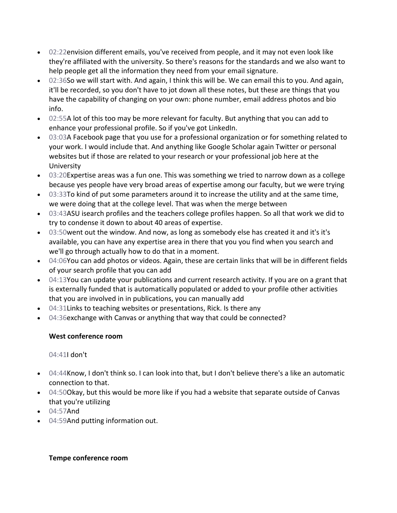- 02:22envision different emails, you've received from people, and it may not even look like they're affiliated with the university. So there's reasons for the standards and we also want to help people get all the information they need from your email signature.
- 02:36So we will start with. And again, I think this will be. We can email this to you. And again, it'll be recorded, so you don't have to jot down all these notes, but these are things that you have the capability of changing on your own: phone number, email address photos and bio info.
- 02:55A lot of this too may be more relevant for faculty. But anything that you can add to enhance your professional profile. So if you've got LinkedIn.
- 03:03A Facebook page that you use for a professional organization or for something related to your work. I would include that. And anything like Google Scholar again Twitter or personal websites but if those are related to your research or your professional job here at the University
- 03:20Expertise areas was a fun one. This was something we tried to narrow down as a college because yes people have very broad areas of expertise among our faculty, but we were trying
- 03:33To kind of put some parameters around it to increase the utility and at the same time, we were doing that at the college level. That was when the merge between
- 03:43ASU isearch profiles and the teachers college profiles happen. So all that work we did to try to condense it down to about 40 areas of expertise.
- 03:50went out the window. And now, as long as somebody else has created it and it's it's available, you can have any expertise area in there that you you find when you search and we'll go through actually how to do that in a moment.
- 04:06You can add photos or videos. Again, these are certain links that will be in different fields of your search profile that you can add
- 04:13You can update your publications and current research activity. If you are on a grant that is externally funded that is automatically populated or added to your profile other activities that you are involved in in publications, you can manually add
- 04:31Links to teaching websites or presentations, Rick. Is there any
- 04:36exchange with Canvas or anything that way that could be connected?

## 04:41I don't

- 04:44Know, I don't think so. I can look into that, but I don't believe there's a like an automatic connection to that.
- 04:50Okay, but this would be more like if you had a website that separate outside of Canvas that you're utilizing
- 04:57And
- 04:59And putting information out.

## **Tempe conference room**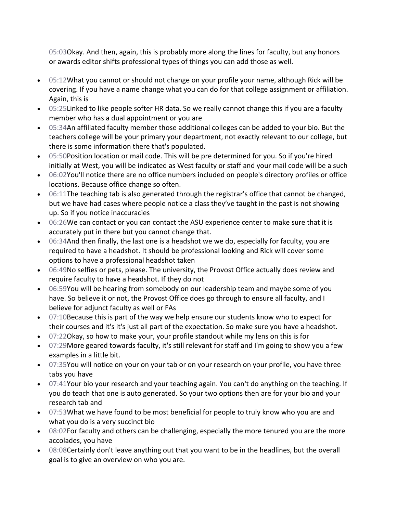05:03Okay. And then, again, this is probably more along the lines for faculty, but any honors or awards editor shifts professional types of things you can add those as well.

- 05:12What you cannot or should not change on your profile your name, although Rick will be covering. If you have a name change what you can do for that college assignment or affiliation. Again, this is
- 05:25Linked to like people softer HR data. So we really cannot change this if you are a faculty member who has a dual appointment or you are
- 05:34An affiliated faculty member those additional colleges can be added to your bio. But the teachers college will be your primary your department, not exactly relevant to our college, but there is some information there that's populated.
- 05:50Position location or mail code. This will be pre determined for you. So if you're hired initially at West, you will be indicated as West faculty or staff and your mail code will be a such
- 06:02You'll notice there are no office numbers included on people's directory profiles or office locations. Because office change so often.
- 06:11The teaching tab is also generated through the registrar's office that cannot be changed, but we have had cases where people notice a class they've taught in the past is not showing up. So if you notice inaccuracies
- 06:26We can contact or you can contact the ASU experience center to make sure that it is accurately put in there but you cannot change that.
- 06:34And then finally, the last one is a headshot we we do, especially for faculty, you are required to have a headshot. It should be professional looking and Rick will cover some options to have a professional headshot taken
- 06:49No selfies or pets, please. The university, the Provost Office actually does review and require faculty to have a headshot. If they do not
- 06:59You will be hearing from somebody on our leadership team and maybe some of you have. So believe it or not, the Provost Office does go through to ensure all faculty, and I believe for adjunct faculty as well or FAs
- 07:10Because this is part of the way we help ensure our students know who to expect for their courses and it's it's just all part of the expectation. So make sure you have a headshot.
- 07:22Okay, so how to make your, your profile standout while my lens on this is for
- 07:29More geared towards faculty, it's still relevant for staff and I'm going to show you a few examples in a little bit.
- 07:35You will notice on your on your tab or on your research on your profile, you have three tabs you have
- 07:41Your bio your research and your teaching again. You can't do anything on the teaching. If you do teach that one is auto generated. So your two options then are for your bio and your research tab and
- 07:53What we have found to be most beneficial for people to truly know who you are and what you do is a very succinct bio
- 08:02For faculty and others can be challenging, especially the more tenured you are the more accolades, you have
- 08:08Certainly don't leave anything out that you want to be in the headlines, but the overall goal is to give an overview on who you are.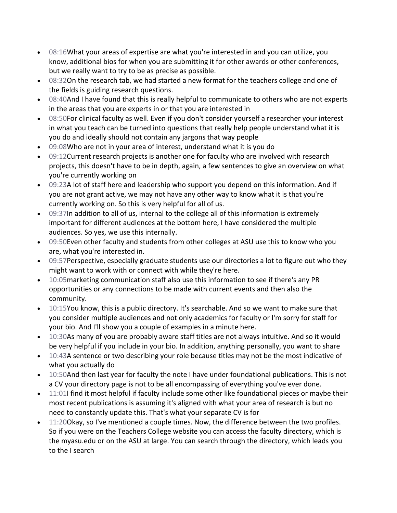- 08:16What your areas of expertise are what you're interested in and you can utilize, you know, additional bios for when you are submitting it for other awards or other conferences, but we really want to try to be as precise as possible.
- 08:32On the research tab, we had started a new format for the teachers college and one of the fields is guiding research questions.
- 08:40And I have found that this is really helpful to communicate to others who are not experts in the areas that you are experts in or that you are interested in
- 08:50For clinical faculty as well. Even if you don't consider yourself a researcher your interest in what you teach can be turned into questions that really help people understand what it is you do and ideally should not contain any jargons that way people
- 09:08Who are not in your area of interest, understand what it is you do
- 09:12Current research projects is another one for faculty who are involved with research projects, this doesn't have to be in depth, again, a few sentences to give an overview on what you're currently working on
- 09:23A lot of staff here and leadership who support you depend on this information. And if you are not grant active, we may not have any other way to know what it is that you're currently working on. So this is very helpful for all of us.
- 09:37In addition to all of us, internal to the college all of this information is extremely important for different audiences at the bottom here, I have considered the multiple audiences. So yes, we use this internally.
- 09:50Even other faculty and students from other colleges at ASU use this to know who you are, what you're interested in.
- 09:57Perspective, especially graduate students use our directories a lot to figure out who they might want to work with or connect with while they're here.
- 10:05marketing communication staff also use this information to see if there's any PR opportunities or any connections to be made with current events and then also the community.
- 10:15You know, this is a public directory. It's searchable. And so we want to make sure that you consider multiple audiences and not only academics for faculty or I'm sorry for staff for your bio. And I'll show you a couple of examples in a minute here.
- 10:30As many of you are probably aware staff titles are not always intuitive. And so it would be very helpful if you include in your bio. In addition, anything personally, you want to share
- 10:43A sentence or two describing your role because titles may not be the most indicative of what you actually do
- 10:50And then last year for faculty the note I have under foundational publications. This is not a CV your directory page is not to be all encompassing of everything you've ever done.
- 11:01I find it most helpful if faculty include some other like foundational pieces or maybe their most recent publications is assuming it's aligned with what your area of research is but no need to constantly update this. That's what your separate CV is for
- 11:20Okay, so I've mentioned a couple times. Now, the difference between the two profiles. So if you were on the Teachers College website you can access the faculty directory, which is the myasu.edu or on the ASU at large. You can search through the directory, which leads you to the I search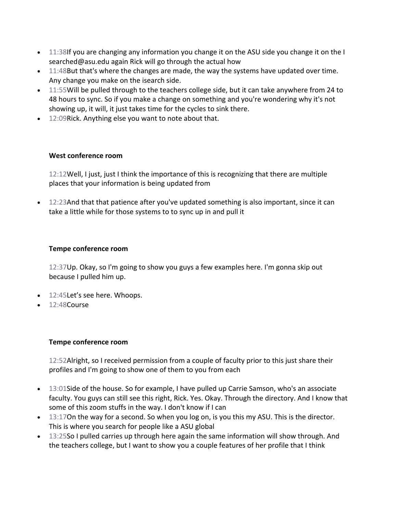- 11:38If you are changing any information you change it on the ASU side you change it on the I searched@asu.edu again Rick will go through the actual how
- 11:48But that's where the changes are made, the way the systems have updated over time. Any change you make on the isearch side.
- 11:55Will be pulled through to the teachers college side, but it can take anywhere from 24 to 48 hours to sync. So if you make a change on something and you're wondering why it's not showing up, it will, it just takes time for the cycles to sink there.
- 12:09Rick. Anything else you want to note about that.

12:12Well, I just, just I think the importance of this is recognizing that there are multiple places that your information is being updated from

• 12:23And that that patience after you've updated something is also important, since it can take a little while for those systems to to sync up in and pull it

### **Tempe conference room**

12:37Up. Okay, so I'm going to show you guys a few examples here. I'm gonna skip out because I pulled him up.

- 12:45 Let's see here. Whoops.
- 12:48Course

### **Tempe conference room**

12:52Alright, so I received permission from a couple of faculty prior to this just share their profiles and I'm going to show one of them to you from each

- 13:01Side of the house. So for example, I have pulled up Carrie Samson, who's an associate faculty. You guys can still see this right, Rick. Yes. Okay. Through the directory. And I know that some of this zoom stuffs in the way. I don't know if I can
- 13:17On the way for a second. So when you log on, is you this my ASU. This is the director. This is where you search for people like a ASU global
- 13:25So I pulled carries up through here again the same information will show through. And the teachers college, but I want to show you a couple features of her profile that I think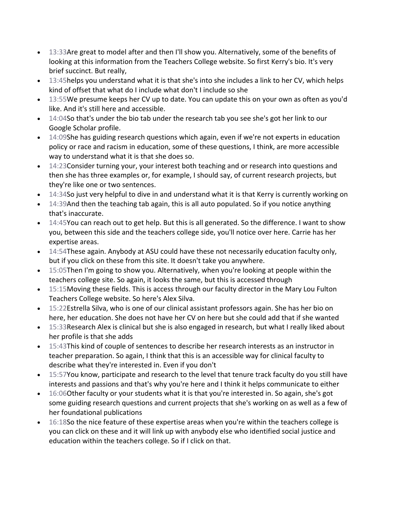- 13:33Are great to model after and then I'll show you. Alternatively, some of the benefits of looking at this information from the Teachers College website. So first Kerry's bio. It's very brief succinct. But really,
- 13:45helps you understand what it is that she's into she includes a link to her CV, which helps kind of offset that what do I include what don't I include so she
- 13:55We presume keeps her CV up to date. You can update this on your own as often as you'd like. And it's still here and accessible.
- 14:04So that's under the bio tab under the research tab you see she's got her link to our Google Scholar profile.
- 14:09She has guiding research questions which again, even if we're not experts in education policy or race and racism in education, some of these questions, I think, are more accessible way to understand what it is that she does so.
- 14:23 Consider turning your, your interest both teaching and or research into questions and then she has three examples or, for example, I should say, of current research projects, but they're like one or two sentences.
- 14:34So just very helpful to dive in and understand what it is that Kerry is currently working on
- $\bullet$  14:39And then the teaching tab again, this is all auto populated. So if you notice anything that's inaccurate.
- 14:45You can reach out to get help. But this is all generated. So the difference. I want to show you, between this side and the teachers college side, you'll notice over here. Carrie has her expertise areas.
- 14:54These again. Anybody at ASU could have these not necessarily education faculty only, but if you click on these from this site. It doesn't take you anywhere.
- 15:05Then I'm going to show you. Alternatively, when you're looking at people within the teachers college site. So again, it looks the same, but this is accessed through
- 15:15 Moving these fields. This is access through our faculty director in the Mary Lou Fulton Teachers College website. So here's Alex Silva.
- 15:22Estrella Silva, who is one of our clinical assistant professors again. She has her bio on here, her education. She does not have her CV on here but she could add that if she wanted
- 15:33 Research Alex is clinical but she is also engaged in research, but what I really liked about her profile is that she adds
- 15:43This kind of couple of sentences to describe her research interests as an instructor in teacher preparation. So again, I think that this is an accessible way for clinical faculty to describe what they're interested in. Even if you don't
- 15:57You know, participate and research to the level that tenure track faculty do you still have interests and passions and that's why you're here and I think it helps communicate to either
- 16:06Other faculty or your students what it is that you're interested in. So again, she's got some guiding research questions and current projects that she's working on as well as a few of her foundational publications
- 16:18So the nice feature of these expertise areas when you're within the teachers college is you can click on these and it will link up with anybody else who identified social justice and education within the teachers college. So if I click on that.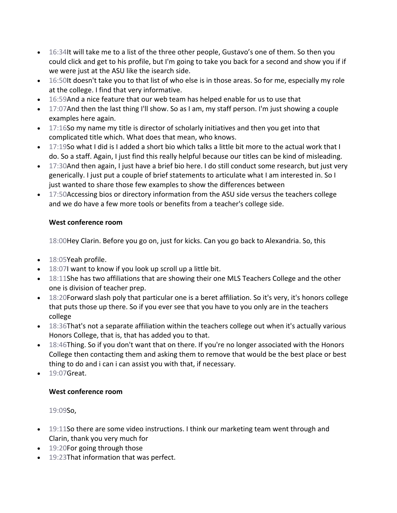- 16:34It will take me to a list of the three other people, Gustavo's one of them. So then you could click and get to his profile, but I'm going to take you back for a second and show you if if we were just at the ASU like the isearch side.
- 16:50It doesn't take you to that list of who else is in those areas. So for me, especially my role at the college. I find that very informative.
- 16:59And a nice feature that our web team has helped enable for us to use that
- 17:07And then the last thing I'll show. So as I am, my staff person. I'm just showing a couple examples here again.
- 17:16So my name my title is director of scholarly initiatives and then you get into that complicated title which. What does that mean, who knows.
- 17:19So what I did is I added a short bio which talks a little bit more to the actual work that I do. So a staff. Again, I just find this really helpful because our titles can be kind of misleading.
- 17:30And then again, I just have a brief bio here. I do still conduct some research, but just very generically. I just put a couple of brief statements to articulate what I am interested in. So I just wanted to share those few examples to show the differences between
- 17:50Accessing bios or directory information from the ASU side versus the teachers college and we do have a few more tools or benefits from a teacher's college side.

18:00Hey Clarin. Before you go on, just for kicks. Can you go back to Alexandria. So, this

- 18:05Yeah profile.
- 18:07I want to know if you look up scroll up a little bit.
- 18:11She has two affiliations that are showing their one MLS Teachers College and the other one is division of teacher prep.
- 18:20Forward slash poly that particular one is a beret affiliation. So it's very, it's honors college that puts those up there. So if you ever see that you have to you only are in the teachers college
- 18:36That's not a separate affiliation within the teachers college out when it's actually various Honors College, that is, that has added you to that.
- 18:46Thing. So if you don't want that on there. If you're no longer associated with the Honors College then contacting them and asking them to remove that would be the best place or best thing to do and i can i can assist you with that, if necessary.
- 19:07Great.

# **West conference room**

19:09So,

- 19:11So there are some video instructions. I think our marketing team went through and Clarin, thank you very much for
- 19:20For going through those
- 19:23That information that was perfect.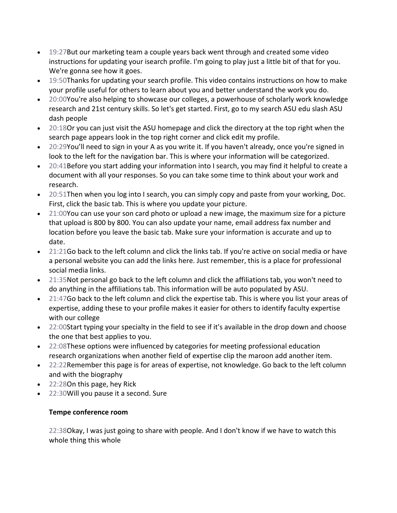- 19:27But our marketing team a couple years back went through and created some video instructions for updating your isearch profile. I'm going to play just a little bit of that for you. We're gonna see how it goes.
- 19:50Thanks for updating your search profile. This video contains instructions on how to make your profile useful for others to learn about you and better understand the work you do.
- 20:00You're also helping to showcase our colleges, a powerhouse of scholarly work knowledge research and 21st century skills. So let's get started. First, go to my search ASU edu slash ASU dash people
- 20:18Or you can just visit the ASU homepage and click the directory at the top right when the search page appears look in the top right corner and click edit my profile.
- 20:29You'll need to sign in your A as you write it. If you haven't already, once you're signed in look to the left for the navigation bar. This is where your information will be categorized.
- 20:41Before you start adding your information into I search, you may find it helpful to create a document with all your responses. So you can take some time to think about your work and research.
- 20:51Then when you log into I search, you can simply copy and paste from your working, Doc. First, click the basic tab. This is where you update your picture.
- 21:00You can use your son card photo or upload a new image, the maximum size for a picture that upload is 800 by 800. You can also update your name, email address fax number and location before you leave the basic tab. Make sure your information is accurate and up to date.
- 21:21Go back to the left column and click the links tab. If you're active on social media or have a personal website you can add the links here. Just remember, this is a place for professional social media links.
- 21:35Not personal go back to the left column and click the affiliations tab, you won't need to do anything in the affiliations tab. This information will be auto populated by ASU.
- 21:47Go back to the left column and click the expertise tab. This is where you list your areas of expertise, adding these to your profile makes it easier for others to identify faculty expertise with our college
- 22:00Start typing your specialty in the field to see if it's available in the drop down and choose the one that best applies to you.
- 22:08These options were influenced by categories for meeting professional education research organizations when another field of expertise clip the maroon add another item.
- 22:22Remember this page is for areas of expertise, not knowledge. Go back to the left column and with the biography
- 22:28On this page, hey Rick
- 22:30Will you pause it a second. Sure

22:38Okay, I was just going to share with people. And I don't know if we have to watch this whole thing this whole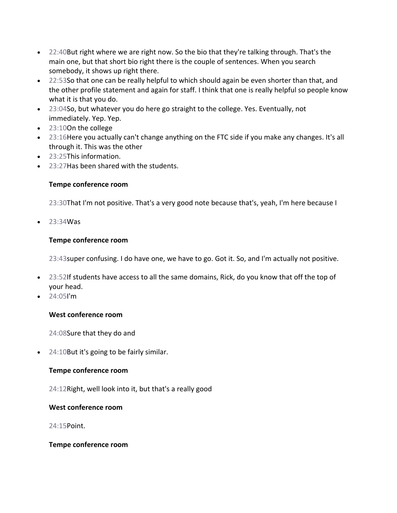- 22:40But right where we are right now. So the bio that they're talking through. That's the main one, but that short bio right there is the couple of sentences. When you search somebody, it shows up right there.
- 22:53So that one can be really helpful to which should again be even shorter than that, and the other profile statement and again for staff. I think that one is really helpful so people know what it is that you do.
- 23:04So, but whatever you do here go straight to the college. Yes. Eventually, not immediately. Yep. Yep.
- 23:10On the college
- 23:16Here you actually can't change anything on the FTC side if you make any changes. It's all through it. This was the other
- 23:25This information.
- 23:27Has been shared with the students.

23:30That I'm not positive. That's a very good note because that's, yeah, I'm here because I

• 23:34Was

## **Tempe conference room**

23:43super confusing. I do have one, we have to go. Got it. So, and I'm actually not positive.

- 23:52If students have access to all the same domains, Rick, do you know that off the top of your head.
- $24:051'm$

## **West conference room**

24:08Sure that they do and

• 24:10But it's going to be fairly similar.

## **Tempe conference room**

24:12Right, well look into it, but that's a really good

## **West conference room**

24:15Point.

## **Tempe conference room**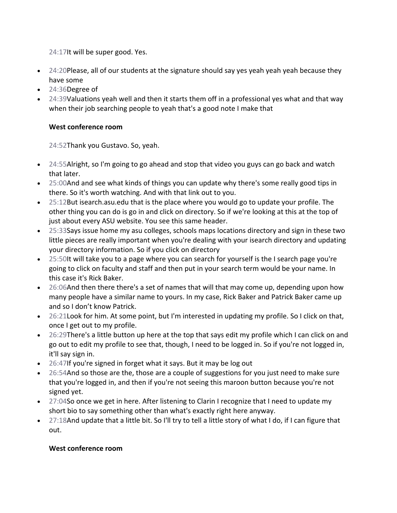24:17It will be super good. Yes.

- 24:20Please, all of our students at the signature should say yes yeah yeah yeah because they have some
- 24:36Degree of
- 24:39Valuations yeah well and then it starts them off in a professional yes what and that way when their job searching people to yeah that's a good note I make that

# **West conference room**

24:52Thank you Gustavo. So, yeah.

- 24:55Alright, so I'm going to go ahead and stop that video you guys can go back and watch that later.
- 25:00And and see what kinds of things you can update why there's some really good tips in there. So it's worth watching. And with that link out to you.
- 25:12But isearch.asu.edu that is the place where you would go to update your profile. The other thing you can do is go in and click on directory. So if we're looking at this at the top of just about every ASU website. You see this same header.
- 25:33Says issue home my asu colleges, schools maps locations directory and sign in these two little pieces are really important when you're dealing with your isearch directory and updating your directory information. So if you click on directory
- 25:50It will take you to a page where you can search for yourself is the I search page you're going to click on faculty and staff and then put in your search term would be your name. In this case it's Rick Baker.
- 26:06And then there there's a set of names that will that may come up, depending upon how many people have a similar name to yours. In my case, Rick Baker and Patrick Baker came up and so I don't know Patrick.
- 26:21 Look for him. At some point, but I'm interested in updating my profile. So I click on that, once I get out to my profile.
- 26:29There's a little button up here at the top that says edit my profile which I can click on and go out to edit my profile to see that, though, I need to be logged in. So if you're not logged in, it'll say sign in.
- 26:47If you're signed in forget what it says. But it may be log out
- 26:54And so those are the, those are a couple of suggestions for you just need to make sure that you're logged in, and then if you're not seeing this maroon button because you're not signed yet.
- 27:04So once we get in here. After listening to Clarin I recognize that I need to update my short bio to say something other than what's exactly right here anyway.
- 27:18And update that a little bit. So I'll try to tell a little story of what I do, if I can figure that out.

# **West conference room**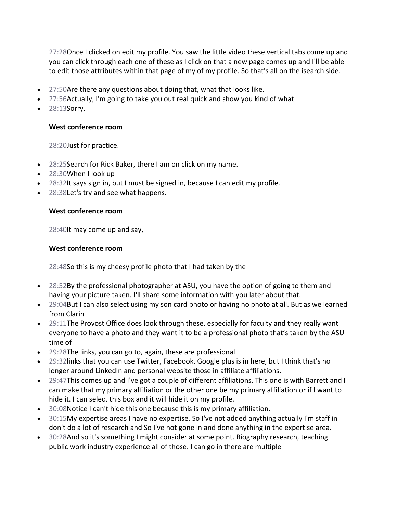27:28Once I clicked on edit my profile. You saw the little video these vertical tabs come up and you can click through each one of these as I click on that a new page comes up and I'll be able to edit those attributes within that page of my of my profile. So that's all on the isearch side.

- 27:50Are there any questions about doing that, what that looks like.
- 27:56Actually, I'm going to take you out real quick and show you kind of what
- 28:13Sorry.

#### **West conference room**

28:20Just for practice.

- 28:25Search for Rick Baker, there I am on click on my name.
- 28:30When I look up
- 28:32It says sign in, but I must be signed in, because I can edit my profile.
- 28:38Let's try and see what happens.

#### **West conference room**

28:40It may come up and say,

#### **West conference room**

28:48So this is my cheesy profile photo that I had taken by the

- 28:52By the professional photographer at ASU, you have the option of going to them and having your picture taken. I'll share some information with you later about that.
- 29:04But I can also select using my son card photo or having no photo at all. But as we learned from Clarin
- 29:11The Provost Office does look through these, especially for faculty and they really want everyone to have a photo and they want it to be a professional photo that's taken by the ASU time of
- 29:28The links, you can go to, again, these are professional
- 29:32links that you can use Twitter, Facebook, Google plus is in here, but I think that's no longer around LinkedIn and personal website those in affiliate affiliations.
- 29:47This comes up and I've got a couple of different affiliations. This one is with Barrett and I can make that my primary affiliation or the other one be my primary affiliation or if I want to hide it. I can select this box and it will hide it on my profile.
- 30:08Notice I can't hide this one because this is my primary affiliation.
- 30:15My expertise areas I have no expertise. So I've not added anything actually I'm staff in don't do a lot of research and So I've not gone in and done anything in the expertise area.
- 30:28And so it's something I might consider at some point. Biography research, teaching public work industry experience all of those. I can go in there are multiple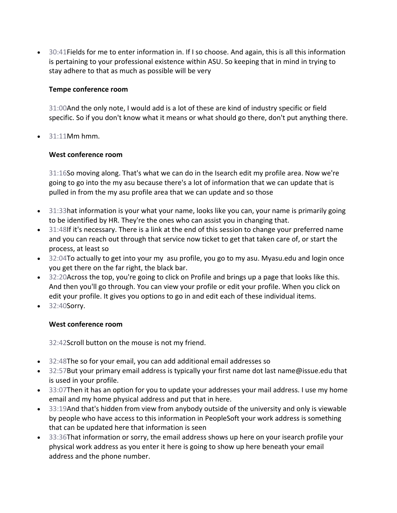• 30:41Fields for me to enter information in. If I so choose. And again, this is all this information is pertaining to your professional existence within ASU. So keeping that in mind in trying to stay adhere to that as much as possible will be very

### **Tempe conference room**

31:00And the only note, I would add is a lot of these are kind of industry specific or field specific. So if you don't know what it means or what should go there, don't put anything there.

 $\bullet$  31:11Mm hmm.

### **West conference room**

31:16So moving along. That's what we can do in the Isearch edit my profile area. Now we're going to go into the my asu because there's a lot of information that we can update that is pulled in from the my asu profile area that we can update and so those

- 31:33hat information is your what your name, looks like you can, your name is primarily going to be identified by HR. They're the ones who can assist you in changing that.
- 31:48If it's necessary. There is a link at the end of this session to change your preferred name and you can reach out through that service now ticket to get that taken care of, or start the process, at least so
- 32:04To actually to get into your my asu profile, you go to my asu. Myasu.edu and login once you get there on the far right, the black bar.
- 32:20Across the top, you're going to click on Profile and brings up a page that looks like this. And then you'll go through. You can view your profile or edit your profile. When you click on edit your profile. It gives you options to go in and edit each of these individual items.
- 32:40Sorry.

## **West conference room**

32:42Scroll button on the mouse is not my friend.

- 32:48The so for your email, you can add additional email addresses so
- 32:57But your primary email address is typically your first name dot last name@issue.edu that is used in your profile.
- 33:07Then it has an option for you to update your addresses your mail address. I use my home email and my home physical address and put that in here.
- 33:19And that's hidden from view from anybody outside of the university and only is viewable by people who have access to this information in PeopleSoft your work address is something that can be updated here that information is seen
- 33:36That information or sorry, the email address shows up here on your isearch profile your physical work address as you enter it here is going to show up here beneath your email address and the phone number.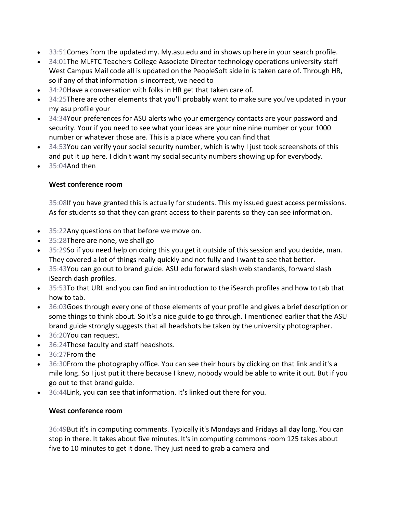- 33:51Comes from the updated my. My.asu.edu and in shows up here in your search profile.
- 34:01The MLFTC Teachers College Associate Director technology operations university staff West Campus Mail code all is updated on the PeopleSoft side in is taken care of. Through HR, so if any of that information is incorrect, we need to
- 34:20Have a conversation with folks in HR get that taken care of.
- 34:25There are other elements that you'll probably want to make sure you've updated in your my asu profile your
- 34:34Your preferences for ASU alerts who your emergency contacts are your password and security. Your if you need to see what your ideas are your nine nine number or your 1000 number or whatever those are. This is a place where you can find that
- 34:53You can verify your social security number, which is why I just took screenshots of this and put it up here. I didn't want my social security numbers showing up for everybody.
- 35:04And then

35:08If you have granted this is actually for students. This my issued guest access permissions. As for students so that they can grant access to their parents so they can see information.

- 35:22Any questions on that before we move on.
- 35:28There are none, we shall go
- 35:29So if you need help on doing this you get it outside of this session and you decide, man. They covered a lot of things really quickly and not fully and I want to see that better.
- 35:43You can go out to brand guide. ASU edu forward slash web standards, forward slash iSearch dash profiles.
- 35:53To that URL and you can find an introduction to the iSearch profiles and how to tab that how to tab.
- 36:03Goes through every one of those elements of your profile and gives a brief description or some things to think about. So it's a nice guide to go through. I mentioned earlier that the ASU brand guide strongly suggests that all headshots be taken by the university photographer.
- 36:20You can request.
- 36:24Those faculty and staff headshots.
- 36:27From the
- 36:30From the photography office. You can see their hours by clicking on that link and it's a mile long. So I just put it there because I knew, nobody would be able to write it out. But if you go out to that brand guide.
- 36:44Link, you can see that information. It's linked out there for you.

## **West conference room**

36:49But it's in computing comments. Typically it's Mondays and Fridays all day long. You can stop in there. It takes about five minutes. It's in computing commons room 125 takes about five to 10 minutes to get it done. They just need to grab a camera and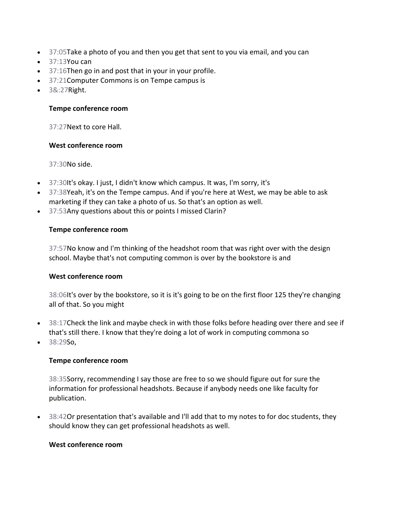- 37:05Take a photo of you and then you get that sent to you via email, and you can
- 37:13You can
- 37:16Then go in and post that in your in your profile.
- 37:21Computer Commons is on Tempe campus is
- 3&:27Right.

37:27Next to core Hall.

#### **West conference room**

37:30No side.

- 37:30It's okay. I just, I didn't know which campus. It was, I'm sorry, it's
- 37:38Yeah, it's on the Tempe campus. And if you're here at West, we may be able to ask marketing if they can take a photo of us. So that's an option as well.
- 37:53Any questions about this or points I missed Clarin?

#### **Tempe conference room**

37:57No know and I'm thinking of the headshot room that was right over with the design school. Maybe that's not computing common is over by the bookstore is and

### **West conference room**

38:06It's over by the bookstore, so it is it's going to be on the first floor 125 they're changing all of that. So you might

- 38:17Check the link and maybe check in with those folks before heading over there and see if that's still there. I know that they're doing a lot of work in computing commona so
- 38:29So,

### **Tempe conference room**

38:35Sorry, recommending I say those are free to so we should figure out for sure the information for professional headshots. Because if anybody needs one like faculty for publication.

• 38:42Or presentation that's available and I'll add that to my notes to for doc students, they should know they can get professional headshots as well.

#### **West conference room**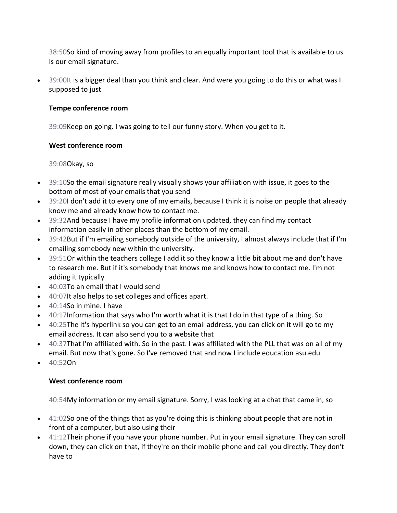38:50So kind of moving away from profiles to an equally important tool that is available to us is our email signature.

• 39:00It is a bigger deal than you think and clear. And were you going to do this or what was I supposed to just

## **Tempe conference room**

39:09Keep on going. I was going to tell our funny story. When you get to it.

## **West conference room**

39:08Okay, so

- 39:10So the email signature really visually shows your affiliation with issue, it goes to the bottom of most of your emails that you send
- 39:20I don't add it to every one of my emails, because I think it is noise on people that already know me and already know how to contact me.
- 39:32And because I have my profile information updated, they can find my contact information easily in other places than the bottom of my email.
- 39:42But if I'm emailing somebody outside of the university, I almost always include that if I'm emailing somebody new within the university.
- 39:51Or within the teachers college I add it so they know a little bit about me and don't have to research me. But if it's somebody that knows me and knows how to contact me. I'm not adding it typically
- 40:03To an email that I would send
- 40:07It also helps to set colleges and offices apart.
- 40:14So in mine. I have
- $\bullet$  40:17Information that says who I'm worth what it is that I do in that type of a thing. So
- 40:25The it's hyperlink so you can get to an email address, you can click on it will go to my email address. It can also send you to a website that
- $\bullet$  40:37That I'm affiliated with. So in the past. I was affiliated with the PLL that was on all of my email. But now that's gone. So I've removed that and now I include education asu.edu
- 40:52On

# **West conference room**

40:54My information or my email signature. Sorry, I was looking at a chat that came in, so

- 41:02So one of the things that as you're doing this is thinking about people that are not in front of a computer, but also using their
- 41:12Their phone if you have your phone number. Put in your email signature. They can scroll down, they can click on that, if they're on their mobile phone and call you directly. They don't have to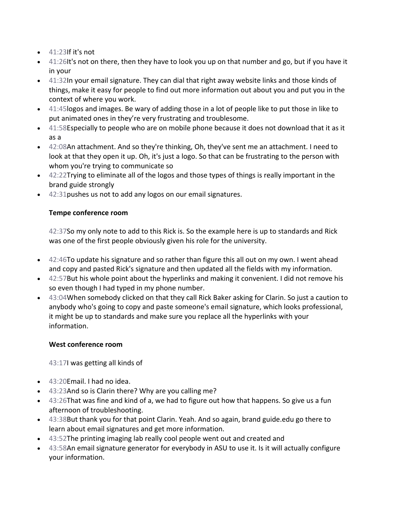- 41:23If it's not
- $\bullet$  41:26It's not on there, then they have to look you up on that number and go, but if you have it in your
- 41:32In your email signature. They can dial that right away website links and those kinds of things, make it easy for people to find out more information out about you and put you in the context of where you work.
- 41:45logos and images. Be wary of adding those in a lot of people like to put those in like to put animated ones in they're very frustrating and troublesome.
- 41:58Especially to people who are on mobile phone because it does not download that it as it as a
- 42:08An attachment. And so they're thinking, Oh, they've sent me an attachment. I need to look at that they open it up. Oh, it's just a logo. So that can be frustrating to the person with whom you're trying to communicate so
- 42:22Trying to eliminate all of the logos and those types of things is really important in the brand guide strongly
- 42:31pushes us not to add any logos on our email signatures.

42:37So my only note to add to this Rick is. So the example here is up to standards and Rick was one of the first people obviously given his role for the university.

- 42:46To update his signature and so rather than figure this all out on my own. I went ahead and copy and pasted Rick's signature and then updated all the fields with my information.
- 42:57But his whole point about the hyperlinks and making it convenient. I did not remove his so even though I had typed in my phone number.
- 43:04When somebody clicked on that they call Rick Baker asking for Clarin. So just a caution to anybody who's going to copy and paste someone's email signature, which looks professional, it might be up to standards and make sure you replace all the hyperlinks with your information.

## **West conference room**

43:17I was getting all kinds of

- 43:20Email. I had no idea.
- 43:23And so is Clarin there? Why are you calling me?
- 43:26That was fine and kind of a, we had to figure out how that happens. So give us a fun afternoon of troubleshooting.
- 43:38But thank you for that point Clarin. Yeah. And so again, brand guide.edu go there to learn about email signatures and get more information.
- 43:52The printing imaging lab really cool people went out and created and
- 43:58An email signature generator for everybody in ASU to use it. Is it will actually configure your information.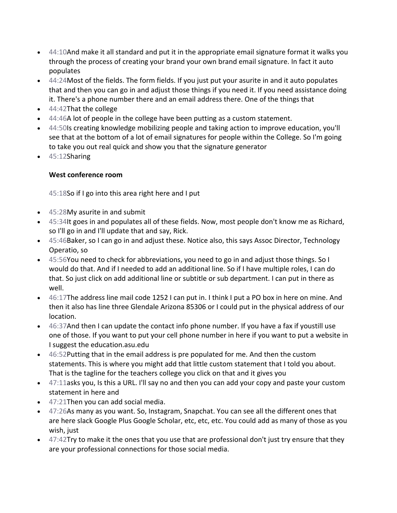- 44:10And make it all standard and put it in the appropriate email signature format it walks you through the process of creating your brand your own brand email signature. In fact it auto populates
- 44:24Most of the fields. The form fields. If you just put your asurite in and it auto populates that and then you can go in and adjust those things if you need it. If you need assistance doing it. There's a phone number there and an email address there. One of the things that
- 44:42That the college
- 44:46A lot of people in the college have been putting as a custom statement.
- 44:50Is creating knowledge mobilizing people and taking action to improve education, you'll see that at the bottom of a lot of email signatures for people within the College. So I'm going to take you out real quick and show you that the signature generator
- 45:12Sharing

45:18So if I go into this area right here and I put

- 45:28My asurite in and submit
- 45:34It goes in and populates all of these fields. Now, most people don't know me as Richard, so I'll go in and I'll update that and say, Rick.
- 45:46Baker, so I can go in and adjust these. Notice also, this says Assoc Director, Technology Operatio, so
- 45:56You need to check for abbreviations, you need to go in and adjust those things. So I would do that. And if I needed to add an additional line. So if I have multiple roles, I can do that. So just click on add additional line or subtitle or sub department. I can put in there as well.
- 46:17The address line mail code 1252 I can put in. I think I put a PO box in here on mine. And then it also has line three Glendale Arizona 85306 or I could put in the physical address of our location.
- $\bullet$  46:37And then I can update the contact info phone number. If you have a fax if youstill use one of those. If you want to put your cell phone number in here if you want to put a website in I suggest the education.asu.edu
- 46:52Putting that in the email address is pre populated for me. And then the custom statements. This is where you might add that little custom statement that I told you about. That is the tagline for the teachers college you click on that and it gives you
- 47:11asks you, Is this a URL. I'll say no and then you can add your copy and paste your custom statement in here and
- 47:21Then you can add social media.
- 47:26As many as you want. So, Instagram, Snapchat. You can see all the different ones that are here slack Google Plus Google Scholar, etc, etc, etc. You could add as many of those as you wish, just
- 47:42Try to make it the ones that you use that are professional don't just try ensure that they are your professional connections for those social media.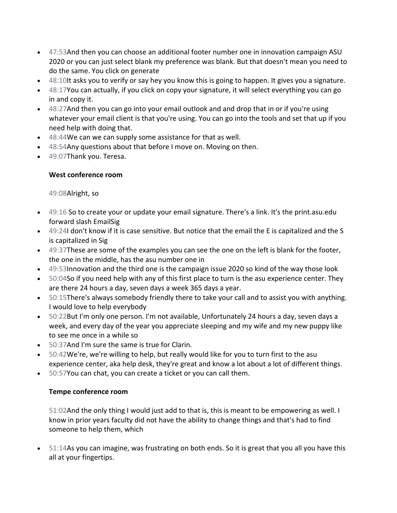- 47:53And then you can choose an additional footer number one in innovation campaign ASU 2020 or you can just select blank my preference was blank. But that doesn't mean you need to do the same. You click on generate
- 48:10It asks you to verify or say hey you know this is going to happen. It gives you a signature.
- 48:17You can actually, if you click on copy your signature, it will select everything you can go in and copy it.
- 48:27And then you can go into your email outlook and and drop that in or if you're using whatever your email client is that you're using. You can go into the tools and set that up if you need help with doing that.
- 48:44We can we can supply some assistance for that as well.
- 48:54Any questions about that before I move on. Moving on then.
- 49:07Thank you. Teresa.

49:08Alright, so

- 49:16 So to create your or update your email signature. There's a link. It's the print.asu.edu forward slash EmailSig
- 49:24I don't know if it is case sensitive. But notice that the email the E is capitalized and the S is capitalized in Sig
- 49:37These are some of the examples you can see the one on the left is blank for the footer, the one in the middle, has the asu number one in
- 49:53Innovation and the third one is the campaign issue 2020 so kind of the way those look
- 50:04So if you need help with any of this first place to turn is the asu experience center. They are there 24 hours a day, seven days a week 365 days a year.
- 50:15There's always somebody friendly there to take your call and to assist you with anything. I would love to help everybody
- 50:22But I'm only one person. I'm not available, Unfortunately 24 hours a day, seven days a week, and every day of the year you appreciate sleeping and my wife and my new puppy like to see me once in a while so
- 50:37And I'm sure the same is true for Clarin.
- 50:42We're, we're willing to help, but really would like for you to turn first to the asu experience center, aka help desk, they're great and know a lot about a lot of different things.
- 50:57You can chat, you can create a ticket or you can call them.

## **Tempe conference room**

51:02And the only thing I would just add to that is, this is meant to be empowering as well. I know in prior years faculty did not have the ability to change things and that's had to find someone to help them, which

• 51:14As you can imagine, was frustrating on both ends. So it is great that you all you have this all at your fingertips.